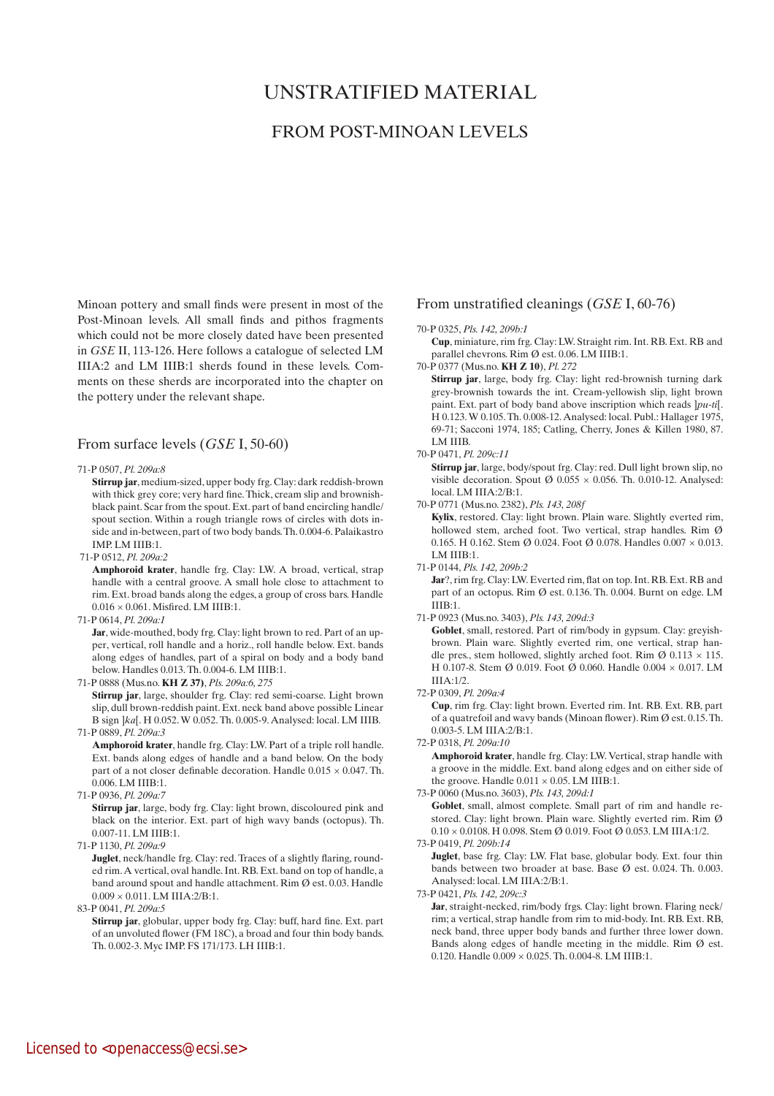# UNSTRATIFIED MATERIAL

# FROM POST-MINOAN LEVELS

Minoan pottery and small finds were present in most of the Post-Minoan levels. All small finds and pithos fragments which could not be more closely dated have been presented in *GSE* II, 113-126. Here follows a catalogue of selected LM IIIA:2 and LM IIIB:1 sherds found in these levels. Comments on these sherds are incorporated into the chapter on the pottery under the relevant shape.

# From surface levels (*GSE* I, 50-60)

#### 71-P 0507, *Pl. 209a:8*

 **Stirrup jar**, medium-sized, upper body frg. Clay: dark reddish-brown with thick grey core; very hard fine. Thick, cream slip and brownishblack paint. Scar from the spout. Ext. part of band encircling handle/ spout section. Within a rough triangle rows of circles with dots inside and in-between, part of two body bands. Th. 0.004-6. Palaikastro IMP. LM IIIB:1.

71-P 0512, *Pl. 209a:2*

 **Amphoroid krater**, handle frg. Clay: LW. A broad, vertical, strap handle with a central groove. A small hole close to attachment to rim. Ext. broad bands along the edges, a group of cross bars. Handle  $0.016 \times 0.061$ . Misfired. LM IIIB:1.

71-P 0614, *Pl. 209a:1*

Jar, wide-mouthed, body frg. Clay: light brown to red. Part of an upper, vertical, roll handle and a horiz., roll handle below. Ext. bands along edges of handles, part of a spiral on body and a body band below. Handles 0.013. Th. 0.004-6. LM IIIB:1.

- 71-P 0888 (Mus.no. **KH Z 37)**, *Pls. 209a:6, 275*  **Stirrup jar**, large, shoulder frg. Clay: red semi-coarse. Light brown slip, dull brown-reddish paint. Ext. neck band above possible Linear B sign ]*ka*[. H 0.052. W 0.052. Th. 0.005-9. Analysed: local. LM IIIB. 71-P 0889, *Pl. 209a:3*
	- **Amphoroid krater**, handle frg. Clay: LW. Part of a triple roll handle. Ext. bands along edges of handle and a band below. On the body part of a not closer definable decoration. Handle  $0.015 \times 0.047$ . Th. 0.006. LM IIIB:1.
- 71-P 0936, *Pl. 209a:7*

**Stirrup jar**, large, body frg. Clay: light brown, discoloured pink and black on the interior. Ext. part of high wavy bands (octopus). Th. 0.007-11. LM IIIB:1.

71-P 1130, *Pl. 209a:9*

Juglet, neck/handle frg. Clay: red. Traces of a slightly flaring, rounded rim. A vertical, oval handle. Int. RB. Ext. band on top of handle, a band around spout and handle attachment. Rim Ø est. 0.03. Handle  $0.009 \times 0.011$ . LM IIIA:2/B:1.

83-P 0041, *Pl. 209a:5*

**Stirrup jar**, globular, upper body frg. Clay: buff, hard fine. Ext. part of an unvoluted flower (FM 18C), a broad and four thin body bands. Th. 0.002-3. Myc IMP. FS 171/173. LH IIIB:1.

# From unstratified cleanings (*GSE* I, 60-76)

#### 70-P 0325, *Pls. 142, 209b:1*

**Cup**, miniature, rim frg. Clay: LW. Straight rim. Int. RB. Ext. RB and parallel chevrons. Rim Ø est. 0.06. LM IIIB:1.

70-P 0377 (Mus.no. **KH Z 10**), *Pl. 272*

 **Stirrup jar**, large, body frg. Clay: light red-brownish turning dark grey-brownish towards the int. Cream-yellowish slip, light brown paint. Ext. part of body band above inscription which reads ]*pu-ti*[. H 0.123. W 0.105. Th. 0.008-12. Analysed: local. Publ.: Hallager 1975, 69-71; Sacconi 1974, 185; Catling, Cherry, Jones & Killen 1980, 87. LM IIIB.

#### 70-P 0471, *Pl. 209c:11*

 **Stirrup jar**, large, body/spout frg. Clay: red. Dull light brown slip, no visible decoration. Spout  $\varnothing$  0.055  $\times$  0.056. Th. 0.010-12. Analysed: local. LM IIIA:2/B:1.

70-P 0771 (Mus.no. 2382), *Pls. 143, 208f*

Kylix, restored. Clay: light brown. Plain ware. Slightly everted rim, hollowed stem, arched foot. Two vertical, strap handles. Rim Ø 0.165. H 0.162. Stem Ø 0.024. Foot Ø 0.078. Handles  $0.007 \times 0.013$ . LM IIIB:1.

71-P 0144, *Pls. 142, 209b:2*

**Jar**?, rim frg. Clay: LW. Everted rim, flat on top. Int. RB. Ext. RB and part of an octopus. Rim Ø est. 0.136. Th. 0.004. Burnt on edge. LM IIIB:1.

71-P 0923 (Mus.no. 3403), *Pls. 143, 209d:3*

Goblet, small, restored. Part of rim/body in gypsum. Clay: greyishbrown. Plain ware. Slightly everted rim, one vertical, strap handle pres., stem hollowed, slightly arched foot. Rim  $\varnothing$  0.113 × 115. H 0.107-8. Stem Ø 0.019. Foot Ø 0.060. Handle 0.004 × 0.017. LM IIIA:1/2.

72-P 0309, *Pl. 209a:4*

 **Cup**, rim frg. Clay: light brown. Everted rim. Int. RB. Ext. RB, part of a quatrefoil and wavy bands (Minoan flower). Rim Ø est. 0.15. Th. 0.003-5. LM IIIA:2/B:1.

72-P 0318, *Pl. 209a:10*

 **Amphoroid krater**, handle frg. Clay: LW. Vertical, strap handle with a groove in the middle. Ext. band along edges and on either side of the groove. Handle  $0.011 \times 0.05$ . LM IIIB:1.

73-P 0060 (Mus.no. 3603), *Pls. 143, 209d:1*

Goblet, small, almost complete. Small part of rim and handle restored. Clay: light brown. Plain ware. Slightly everted rim. Rim Ø  $0.10 \times 0.0108$ . H 0.098. Stem Ø 0.019. Foot Ø 0.053. LM IIIA:1/2.

73-P 0419, *Pl. 209b:14*

 **Juglet**, base frg. Clay: LW. Flat base, globular body. Ext. four thin bands between two broader at base. Base Ø est. 0.024. Th. 0.003. Analysed: local. LM IIIA:2/B:1.

73-P 0421, *Pls. 142, 209c:3*

**Jar**, straight-necked, rim/body frgs. Clay: light brown. Flaring neck/ rim; a vertical, strap handle from rim to mid-body. Int. RB. Ext. RB, neck band, three upper body bands and further three lower down. Bands along edges of handle meeting in the middle. Rim Ø est. 0.120. Handle 0.009 × 0.025. Th. 0.004-8. LM IIIB:1.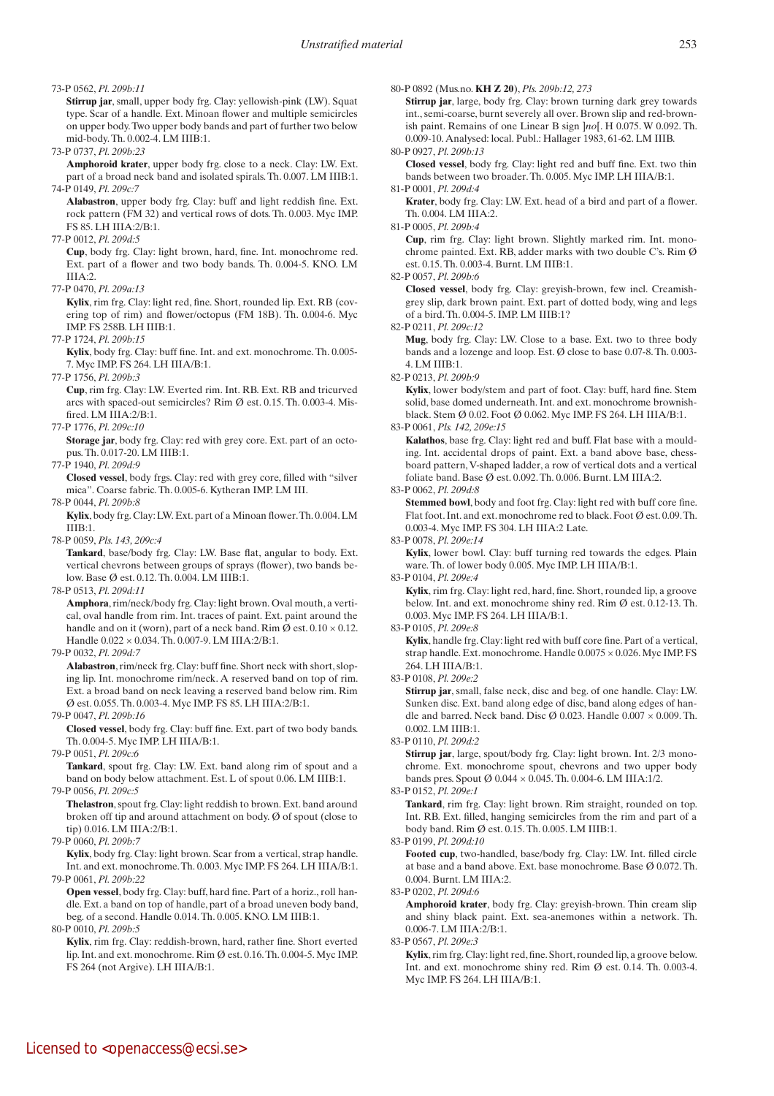#### 73-P 0562, *Pl. 209b:11*

 **Stirrup jar**, small, upper body frg. Clay: yellowish-pink (LW). Squat type. Scar of a handle. Ext. Minoan flower and multiple semicircles on upper body. Two upper body bands and part of further two below mid-body. Th. 0.002-4. LM IIIB:1.

#### 73-P 0737, *Pl. 209b:23*

 **Amphoroid krater**, upper body frg. close to a neck. Clay: LW. Ext. part of a broad neck band and isolated spirals. Th. 0.007. LM IIIB:1. 74-P 0149, *Pl. 209c:7*

 **Alabastron**, upper body frg. Clay: buff and light reddish fine. Ext. rock pattern (FM 32) and vertical rows of dots. Th. 0.003. Myc IMP. FS 85. LH IIIA:2/B:1.

#### 77-P 0012, *Pl. 209d:5*

 **Cup**, body frg. Clay: light brown, hard, fine. Int. monochrome red. Ext. part of a flower and two body bands. Th. 0.004-5. KNO. LM IIIA:2.

#### 77-P 0470, *Pl. 209a:13*

 **Kylix**, rim frg. Clay: light red, fine. Short, rounded lip. Ext. RB (covering top of rim) and flower/octopus (FM 18B). Th. 0.004-6. Myc IMP. FS 258B. LH IIIB:1.

77-P 1724, *Pl. 209b:15*

 **Kylix**, body frg. Clay: buff fine. Int. and ext. monochrome. Th. 0.005- 7. Myc IMP. FS 264. LH IIIA/B:1.

77-P 1756, *Pl. 209b:3*

 **Cup**, rim frg. Clay: LW. Everted rim. Int. RB. Ext. RB and tricurved arcs with spaced-out semicircles? Rim Ø est. 0.15. Th. 0.003-4. Misfired. LM IIIA:2/B:1.

77-P 1776, *Pl. 209c:10*

 **Storage jar**, body frg. Clay: red with grey core. Ext. part of an octopus. Th. 0.017-20. LM IIIB:1.

77-P 1940, *Pl. 209d:9*

 **Closed vessel**, body frgs. Clay: red with grey core, filled with "silver mica". Coarse fabric. Th. 0.005-6. Kytheran IMP. LM III.

78-P 0044, *Pl. 209b:8*

 **Kylix**, body frg. Clay: LW. Ext. part of a Minoan flower. Th. 0.004. LM  $I I I R·1$ .

78-P 0059, *Pls. 143, 209c:4*

 **Tankard**, base/body frg. Clay: LW. Base flat, angular to body. Ext. vertical chevrons between groups of sprays (flower), two bands below. Base Ø est. 0.12. Th. 0.004. LM IIIB:1.

78-P 0513, *Pl. 209d:11* 

 **Amphora**, rim/neck/body frg. Clay: light brown. Oval mouth, a vertical, oval handle from rim. Int. traces of paint. Ext. paint around the handle and on it (worn), part of a neck band. Rim  $\emptyset$  est.  $0.10 \times 0.12$ . Handle 0.022 × 0.034. Th. 0.007-9. LM IIIA:2/B:1.

79-P 0032, *Pl. 209d:7*

 **Alabastron**, rim/neck frg. Clay: buff fine. Short neck with short, sloping lip. Int. monochrome rim/neck. A reserved band on top of rim. Ext. a broad band on neck leaving a reserved band below rim. Rim Ø est. 0.055. Th. 0.003-4. Myc IMP. FS 85. LH IIIA:2/B:1.

79-P 0047, *Pl. 209b:16*

 **Closed vessel**, body frg. Clay: buff fine. Ext. part of two body bands. Th. 0.004-5. Myc IMP. LH IIIA/B:1.

79-P 0051, *Pl. 209c:6*

Tankard, spout frg. Clay: LW. Ext. band along rim of spout and a band on body below attachment. Est. L of spout 0.06. LM IIIB:1. 79-P 0056, *Pl. 209c:5*

 **Thelastron**, spout frg. Clay: light reddish to brown. Ext. band around broken off tip and around attachment on body. Ø of spout (close to tip) 0.016. LM IIIA:2/B:1.

79-P 0060, *Pl. 209b:7*

Kylix, body frg. Clay: light brown. Scar from a vertical, strap handle. Int. and ext. monochrome. Th. 0.003. Myc IMP. FS 264. LH IIIA/B:1. 79-P 0061, *Pl. 209b:22*

**Open vessel**, body frg. Clay: buff, hard fine. Part of a horiz., roll handle. Ext. a band on top of handle, part of a broad uneven body band, beg. of a second. Handle 0.014. Th. 0.005. KNO. LM IIIB:1.

80-P 0010, *Pl. 209b:5*

 **Kylix**, rim frg. Clay: reddish-brown, hard, rather fine. Short everted lip. Int. and ext. monochrome. Rim Ø est. 0.16. Th. 0.004-5. Myc IMP. FS 264 (not Argive). LH IIIA/B:1.

80-P 0892 (Mus.no. **KH Z 20**), *Pls. 209b:12, 273*

 **Stirrup jar**, large, body frg. Clay: brown turning dark grey towards int., semi-coarse, burnt severely all over. Brown slip and red-brownish paint. Remains of one Linear B sign ]*no*[. H 0.075. W 0.092. Th. 0.009-10. Analysed: local. Publ.: Hallager 1983, 61-62. LM IIIB. 80-P 0927, *Pl. 209b:13*

 **Closed vessel**, body frg. Clay: light red and buff fine. Ext. two thin bands between two broader. Th. 0.005. Myc IMP. LH IIIA/B:1.

81-P 0001, *Pl. 209d:4*

**Krater**, body frg. Clay: LW. Ext. head of a bird and part of a flower. Th. 0.004. LM IIIA:2.

81-P 0005, *Pl. 209b:4*

 **Cup**, rim frg. Clay: light brown. Slightly marked rim. Int. monochrome painted. Ext. RB, adder marks with two double C's. Rim Ø est. 0.15. Th. 0.003-4. Burnt. LM IIIB:1.

82-P 0057, *Pl. 209b:6*

 **Closed vessel**, body frg. Clay: greyish-brown, few incl. Creamishgrey slip, dark brown paint. Ext. part of dotted body, wing and legs of a bird. Th. 0.004-5. IMP. LM IIIB:1?

82-P 0211, *Pl. 209c:12*

 **Mug**, body frg. Clay: LW. Close to a base. Ext. two to three body bands and a lozenge and loop. Est. Ø close to base 0.07-8. Th. 0.003- 4. LM IIIB:1.

82-P 0213, *Pl. 209b:9*

 **Kylix**, lower body/stem and part of foot. Clay: buff, hard fine. Stem solid, base domed underneath. Int. and ext. monochrome brownishblack. Stem Ø 0.02. Foot Ø 0.062. Myc IMP. FS 264. LH IIIA/B:1.

83-P 0061, *Pls. 142, 209e:15*

 **Kalathos**, base frg. Clay: light red and buff. Flat base with a moulding. Int. accidental drops of paint. Ext. a band above base, chessboard pattern, V-shaped ladder, a row of vertical dots and a vertical foliate band. Base Ø est. 0.092. Th. 0.006. Burnt. LM IIIA:2.

83-P 0062, *Pl. 209d:8*

 **Stemmed bowl**, body and foot frg. Clay: light red with buff core fine. Flat foot. Int. and ext. monochrome red to black. Foot Ø est. 0.09. Th. 0.003-4. Myc IMP. FS 304. LH IIIA:2 Late.

83-P 0078, *Pl. 209e:14*

Kylix, lower bowl. Clay: buff turning red towards the edges. Plain ware. Th. of lower body 0.005. Myc IMP. LH IIIA/B:1.

83-P 0104, *Pl. 209e:4*

**Kylix**, rim frg. Clay: light red, hard, fine. Short, rounded lip, a groove below. Int. and ext. monochrome shiny red. Rim Ø est. 0.12-13. Th. 0.003. Myc IMP. FS 264. LH IIIA/B:1.

83-P 0105, *Pl. 209e:8*

 **Kylix**, handle frg. Clay: light red with buff core fine. Part of a vertical, strap handle. Ext. monochrome. Handle 0.0075 × 0.026. Myc IMP. FS  $264$  LH IIIA/B $\cdot$ 1.

83-P 0108, *Pl. 209e:2*

 **Stirrup jar**, small, false neck, disc and beg. of one handle. Clay: LW. Sunken disc. Ext. band along edge of disc, band along edges of handle and barred. Neck band. Disc  $\emptyset$  0.023. Handle 0.007  $\times$  0.009. Th. 0.002. LM IIIB:1.

83-P 0110, *Pl. 209d:2*

 **Stirrup jar**, large, spout/body frg. Clay: light brown. Int. 2/3 monochrome. Ext. monochrome spout, chevrons and two upper body bands pres. Spout Ø 0.044 × 0.045. Th. 0.004-6. LM IIIA:1/2.

83-P 0152, *Pl. 209e:1*

Tankard, rim frg. Clay: light brown. Rim straight, rounded on top. Int. RB. Ext. filled, hanging semicircles from the rim and part of a body band. Rim Ø est. 0.15. Th. 0.005. LM IIIB:1.

83-P 0199, *Pl. 209d:10*

 **Footed cup**, two-handled, base/body frg. Clay: LW. Int. filled circle at base and a band above. Ext. base monochrome. Base Ø 0.072. Th. 0.004. Burnt. LM IIIA:2.

83-P 0202, *Pl. 209d:6*

 **Amphoroid krater**, body frg. Clay: greyish-brown. Thin cream slip and shiny black paint. Ext. sea-anemones within a network. Th. 0.006-7. LM IIIA:2/B:1.

83-P 0567, *Pl. 209e:3*

 **Kylix**, rim frg. Clay: light red, fine. Short, rounded lip, a groove below. Int. and ext. monochrome shiny red. Rim Ø est. 0.14. Th. 0.003-4. Myc IMP. FS 264. LH IIIA/B:1.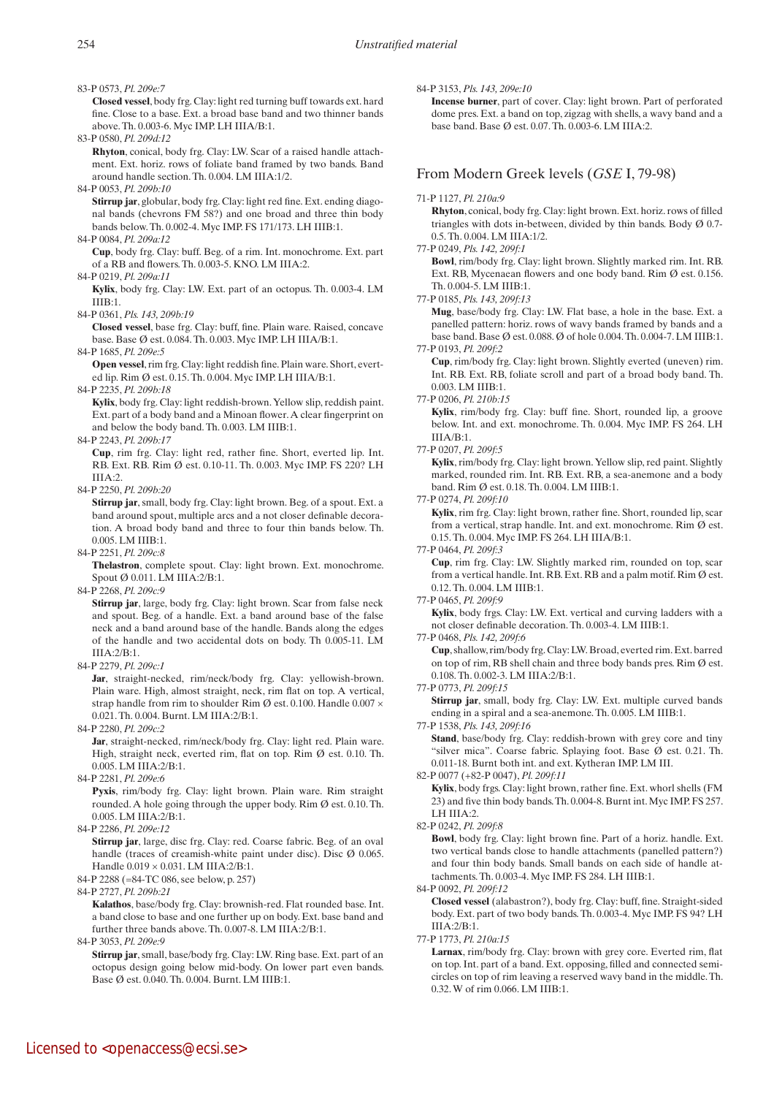83-P 0573, *Pl. 209e:7*

 **Closed vessel**, body frg. Clay: light red turning buff towards ext. hard fine. Close to a base. Ext. a broad base band and two thinner bands above. Th. 0.003-6. Myc IMP. LH IIIA/B:1.

83-P 0580, *Pl. 209d:12*

 **Rhyton**, conical, body frg. Clay: LW. Scar of a raised handle attachment. Ext. horiz. rows of foliate band framed by two bands. Band around handle section. Th. 0.004. LM IIIA:1/2.

84-P 0053, *Pl. 209b:10*

 **Stirrup jar**, globular, body frg. Clay: light red fine. Ext. ending diagonal bands (chevrons FM 58?) and one broad and three thin body bands below. Th. 0.002-4. Myc IMP. FS 171/173. LH IIIB:1.

84-P 0084, *Pl. 209a:12*

 **Cup**, body frg. Clay: buff. Beg. of a rim. Int. monochrome. Ext. part of a RB and flowers. Th. 0.003-5. KNO. LM IIIA:2.

84-P 0219, *Pl. 209a:11*  **Kylix**, body frg. Clay: LW. Ext. part of an octopus. Th. 0.003-4. LM IIIB:1.

84-P 0361, *Pls. 143, 209b:19*

 **Closed vessel**, base frg. Clay: buff, fine. Plain ware. Raised, concave base. Base Ø est. 0.084. Th. 0.003. Myc IMP. LH IIIA/B:1.

84-P 1685, *Pl. 209e:5*

 **Open vessel**, rim frg. Clay: light reddish fine. Plain ware. Short, everted lip. Rim Ø est. 0.15. Th. 0.004. Myc IMP. LH IIIA/B:1.

84-P 2235, *Pl. 209b:18*

 **Kylix**, body frg. Clay: light reddish-brown. Yellow slip, reddish paint. Ext. part of a body band and a Minoan flower. A clear fingerprint on and below the body band. Th. 0.003. LM IIIB:1.

84-P 2243, *Pl. 209b:17*

 **Cup**, rim frg. Clay: light red, rather fine. Short, everted lip. Int. RB. Ext. RB. Rim Ø est. 0.10-11. Th. 0.003. Myc IMP. FS 220? LH IIIA:2.

84-P 2250, *Pl. 209b:20*

 **Stirrup jar**, small, body frg. Clay: light brown. Beg. of a spout. Ext. a band around spout, multiple arcs and a not closer definable decoration. A broad body band and three to four thin bands below. Th. 0.005. LM IIIB:1.

84-P 2251, *Pl. 209c:8*

**Thelastron**, complete spout. Clay: light brown. Ext. monochrome. Spout Ø 0.011. LM IIIA:2/B:1.

84-P 2268, *Pl. 209c:9*

 **Stirrup jar**, large, body frg. Clay: light brown. Scar from false neck and spout. Beg. of a handle. Ext. a band around base of the false neck and a band around base of the handle. Bands along the edges of the handle and two accidental dots on body. Th 0.005-11. LM IIIA:2/B:1.

84-P 2279, *Pl. 209c:1*

Jar, straight-necked, rim/neck/body frg. Clay: yellowish-brown. Plain ware. High, almost straight, neck, rim flat on top. A vertical, strap handle from rim to shoulder Rim Ø est. 0.100. Handle 0.007 × 0.021. Th. 0.004. Burnt. LM IIIA:2/B:1.

84-P 2280, *Pl. 209c:2*

Jar, straight-necked, rim/neck/body frg. Clay: light red. Plain ware. High, straight neck, everted rim, flat on top. Rim Ø est. 0.10. Th. 0.005. LM IIIA:2/B:1.

84-P 2281, *Pl. 209e:6*

 **Pyxis**, rim/body frg. Clay: light brown. Plain ware. Rim straight rounded. A hole going through the upper body. Rim Ø est. 0.10. Th. 0.005. LM IIIA:2/B:1.

84-P 2286, *Pl. 209e:12*

 **Stirrup jar**, large, disc frg. Clay: red. Coarse fabric. Beg. of an oval handle (traces of creamish-white paint under disc). Disc Ø 0.065. Handle 0.019 × 0.031. LM IIIA:2/B:1.

84-P 2288 (=84-TC 086, see below, p. 257)

84-P 2727, *Pl. 209b:21*

 **Kalathos**, base/body frg. Clay: brownish-red. Flat rounded base. Int. a band close to base and one further up on body. Ext. base band and further three bands above. Th. 0.007-8. LM IIIA:2/B:1.

84-P 3053, *Pl. 209e:9*

 **Stirrup jar**, small, base/body frg. Clay: LW. Ring base. Ext. part of an octopus design going below mid-body. On lower part even bands. Base Ø est. 0.040. Th. 0.004. Burnt. LM IIIB:1.

84-P 3153, *Pls. 143, 209e:10*

 **Incense burner**, part of cover. Clay: light brown. Part of perforated dome pres. Ext. a band on top, zigzag with shells, a wavy band and a base band. Base Ø est. 0.07. Th. 0.003-6. LM IIIA:2.

# From Modern Greek levels (*GSE* I, 79-98)

#### 71-P 1127, *Pl. 210a:9*

 **Rhyton**, conical, body frg. Clay: light brown. Ext. horiz. rows of filled triangles with dots in-between, divided by thin bands. Body  $\varnothing$  0.7-0.5. Th. 0.004. LM IIIA:1/2.

77-P 0249, *Pls. 142, 209f:1*

 **Bowl**, rim/body frg. Clay: light brown. Slightly marked rim. Int. RB. Ext. RB, Mycenaean flowers and one body band. Rim Ø est. 0.156. Th. 0.004-5. LM IIIB:1.

77-P 0185, *Pls. 143, 209f:13*

 **Mug**, base/body frg. Clay: LW. Flat base, a hole in the base. Ext. a panelled pattern: horiz. rows of wavy bands framed by bands and a base band. Base Ø est. 0.088. Ø of hole 0.004. Th. 0.004-7. LM IIIB:1. 77-P 0193, *Pl. 209f:2*

 **Cup**, rim/body frg. Clay: light brown. Slightly everted (uneven) rim. Int. RB. Ext. RB, foliate scroll and part of a broad body band. Th. 0.003. LM IIIB:1.

#### 77-P 0206, *Pl. 210b:15*

 **Kylix**, rim/body frg. Clay: buff fine. Short, rounded lip, a groove below. Int. and ext. monochrome. Th. 0.004. Myc IMP. FS 264. LH IIIA/B:1.

77-P 0207, *Pl. 209f:5*

 **Kylix**, rim/body frg. Clay: light brown. Yellow slip, red paint. Slightly marked, rounded rim. Int. RB. Ext. RB, a sea-anemone and a body band. Rim Ø est. 0.18. Th. 0.004. LM IIIB:1.

77-P 0274, *Pl. 209f:10*

Kylix, rim frg. Clay: light brown, rather fine. Short, rounded lip, scar from a vertical, strap handle. Int. and ext. monochrome. Rim  $\emptyset$  est. 0.15. Th. 0.004. Myc IMP. FS 264. LH IIIA/B:1.

#### 77-P 0464, *Pl. 209f:3*

 **Cup**, rim frg. Clay: LW. Slightly marked rim, rounded on top, scar from a vertical handle. Int. RB. Ext. RB and a palm motif. Rim Ø est. 0.12. Th. 0.004. LM IIIB:1.

#### 77-P 0465, *Pl. 209f:9*

 **Kylix**, body frgs. Clay: LW. Ext. vertical and curving ladders with a not closer definable decoration. Th. 0.003-4. LM IIIB:1.

77-P 0468, *Pls. 142, 209f:6*

 **Cup**, shallow, rim/body frg. Clay: LW. Broad, everted rim. Ext. barred on top of rim, RB shell chain and three body bands pres. Rim  $\emptyset$  est. 0.108. Th. 0.002-3. LM IIIA:2/B:1.

77-P 0773, *Pl. 209f:15*

 **Stirrup jar**, small, body frg. Clay: LW. Ext. multiple curved bands ending in a spiral and a sea-anemone. Th. 0.005. LM IIIB:1.

#### 77-P 1538, *Pls. 143, 209f:16*

**Stand**, base/body frg. Clay: reddish-brown with grey core and tiny "silver mica". Coarse fabric. Splaying foot. Base Ø est. 0.21. Th. 0.011-18. Burnt both int. and ext. Kytheran IMP. LM III.

### 82-P 0077 (+82-P 0047), *Pl. 209f:11*

 **Kylix**, body frgs. Clay: light brown, rather fine. Ext. whorl shells (FM 23) and five thin body bands. Th. 0.004-8. Burnt int. Myc IMP. FS 257. LH IIIA:2.

82-P 0242, *Pl. 209f:8*

 **Bowl**, body frg. Clay: light brown fine. Part of a horiz. handle. Ext. two vertical bands close to handle attachments (panelled pattern?) and four thin body bands. Small bands on each side of handle attachments. Th. 0.003-4. Myc IMP. FS 284. LH IIIB:1.

84-P 0092, *Pl. 209f:12*

 **Closed vessel** (alabastron?), body frg. Clay: buff, fine. Straight-sided body. Ext. part of two body bands. Th. 0.003-4. Myc IMP. FS 94? LH IIIA:2/B:1.

77-P 1773, *Pl. 210a:15*

Larnax, rim/body frg. Clay: brown with grey core. Everted rim, flat on top. Int. part of a band. Ext. opposing, filled and connected semicircles on top of rim leaving a reserved wavy band in the middle. Th. 0.32. W of rim 0.066. LM IIIB:1.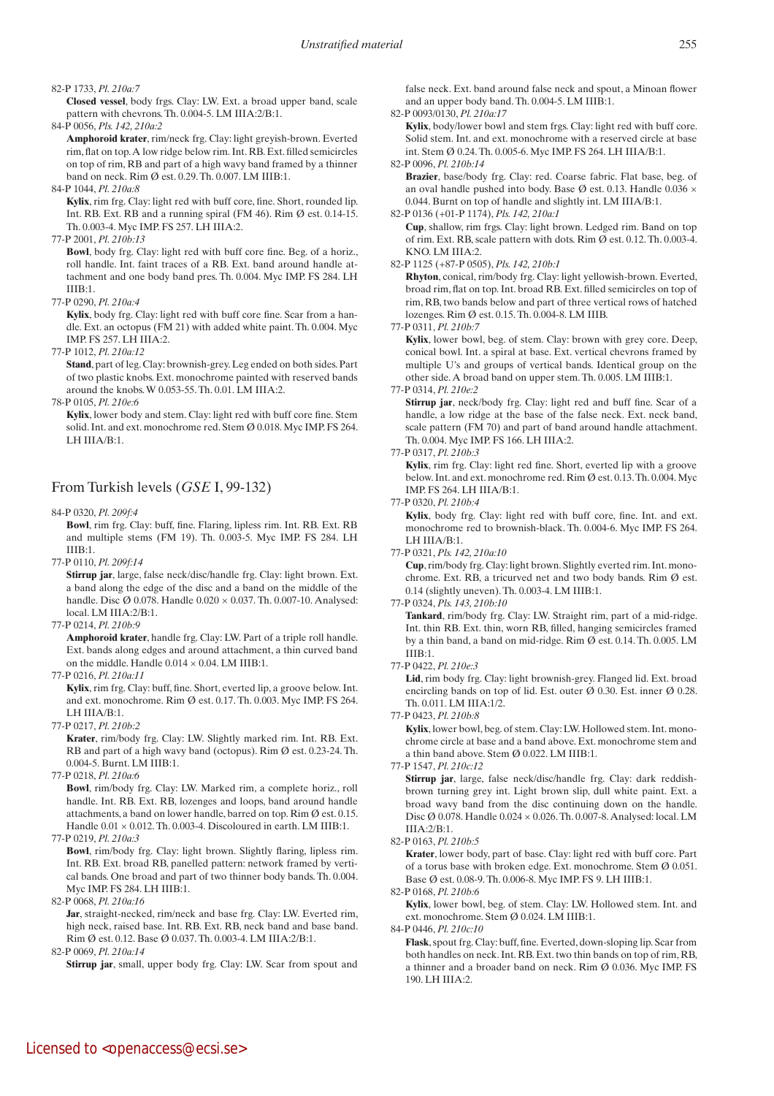#### 82-P 1733, *Pl. 210a:7*

 **Closed vessel**, body frgs. Clay: LW. Ext. a broad upper band, scale pattern with chevrons. Th. 0.004-5. LM IIIA:2/B:1.

84-P 0056, *Pls. 142, 210a:2*

 **Amphoroid krater**, rim/neck frg. Clay: light greyish-brown. Everted rim, flat on top. A low ridge below rim. Int. RB. Ext. filled semicircles on top of rim, RB and part of a high wavy band framed by a thinner band on neck. Rim Ø est. 0.29. Th. 0.007. LM IIIB:1.

84-P 1044, *Pl. 210a:8*

 **Kylix**, rim frg. Clay: light red with buff core, fine. Short, rounded lip. Int. RB. Ext. RB and a running spiral (FM 46). Rim  $\emptyset$  est. 0.14-15. Th. 0.003-4. Myc IMP. FS 257. LH IIIA:2.

77-P 2001, *Pl. 210b:13*

Bowl, body frg. Clay: light red with buff core fine. Beg. of a horiz., roll handle. Int. faint traces of a RB. Ext. band around handle attachment and one body band pres. Th. 0.004. Myc IMP. FS 284. LH IIIB:1.

77-P 0290, *Pl. 210a:4*

**Kylix**, body frg. Clay: light red with buff core fine. Scar from a handle. Ext. an octopus (FM 21) with added white paint. Th. 0.004. Myc IMP. FS 257. LH IIIA:2.

77-P 1012, *Pl. 210a:12*

**Stand**, part of leg. Clay: brownish-grey. Leg ended on both sides. Part of two plastic knobs. Ext. monochrome painted with reserved bands around the knobs. W 0.053-55. Th. 0.01. LM IIIA:2.

78-P 0105, *Pl. 210e:6*

Kylix, lower body and stem. Clay: light red with buff core fine. Stem solid. Int. and ext. monochrome red. Stem Ø 0.018. Myc IMP. FS 264.  $IHH III A/R·1$ 

# From Turkish levels (*GSE* I, 99-132)

84-P 0320, *Pl. 209f:4*

 **Bowl**, rim frg. Clay: buff, fine. Flaring, lipless rim. Int. RB. Ext. RB and multiple stems (FM 19). Th. 0.003-5. Myc IMP. FS 284. LH IIIB:1.

77-P 0110, *Pl. 209f:14*

 **Stirrup jar**, large, false neck/disc/handle frg. Clay: light brown. Ext. a band along the edge of the disc and a band on the middle of the handle. Disc Ø 0.078. Handle 0.020 × 0.037. Th. 0.007-10. Analysed: local. LM IIIA:2/B:1.

77-P 0214, *Pl. 210b:9*

 **Amphoroid krater**, handle frg. Clay: LW. Part of a triple roll handle. Ext. bands along edges and around attachment, a thin curved band on the middle. Handle  $0.014 \times 0.04$ . LM IIIB:1.

77-P 0216, *Pl. 210a:11*

 **Kylix**, rim frg. Clay: buff, fine. Short, everted lip, a groove below. Int. and ext. monochrome. Rim Ø est. 0.17. Th. 0.003. Myc IMP. FS 264. LH IIIA/B:1.

77-P 0217, *Pl. 210b:2*

 **Krater**, rim/body frg. Clay: LW. Slightly marked rim. Int. RB. Ext. RB and part of a high wavy band (octopus). Rim Ø est. 0.23-24. Th. 0.004-5. Burnt. LM IIIB:1.

77-P 0218, *Pl. 210a:6*

 **Bowl**, rim/body frg. Clay: LW. Marked rim, a complete horiz., roll handle. Int. RB. Ext. RB, lozenges and loops, band around handle attachments, a band on lower handle, barred on top. Rim Ø est. 0.15. Handle 0.01 × 0.012. Th. 0.003-4. Discoloured in earth. LM IIIB:1.

77-P 0219, *Pl. 210a:3*

**Bowl**, rim/body frg. Clay: light brown. Slightly flaring, lipless rim. Int. RB. Ext. broad RB, panelled pattern: network framed by vertical bands. One broad and part of two thinner body bands. Th. 0.004. Myc IMP. FS 284. LH IIIB:1.

82-P 0068, *Pl. 210a:16*

Jar, straight-necked, rim/neck and base frg. Clay: LW. Everted rim, high neck, raised base. Int. RB. Ext. RB, neck band and base band. Rim Ø est. 0.12. Base Ø 0.037. Th. 0.003-4. LM IIIA:2/B:1.

82-P 0069, *Pl. 210a:14*

**Stirrup** jar, small, upper body frg. Clay: LW. Scar from spout and

false neck. Ext. band around false neck and spout, a Minoan flower and an upper body band. Th. 0.004-5. LM IIIB:1.

## 82-P 0093/0130, *Pl. 210a:17*

Kylix, body/lower bowl and stem frgs. Clay: light red with buff core. Solid stem. Int. and ext. monochrome with a reserved circle at base int. Stem Ø 0.24. Th. 0.005-6. Myc IMP. FS 264. LH IIIA/B:1.

82-P 0096, *Pl. 210b:14*

 **Brazier**, base/body frg. Clay: red. Coarse fabric. Flat base, beg. of an oval handle pushed into body. Base Ø est. 0.13. Handle 0.036  $\times$ 0.044. Burnt on top of handle and slightly int. LM IIIA/B:1.

82-P 0136 (+01-P 1174), *Pls. 142, 210a:1*

 **Cup**, shallow, rim frgs. Clay: light brown. Ledged rim. Band on top of rim. Ext. RB, scale pattern with dots. Rim Ø est. 0.12. Th. 0.003-4. KNO. LM IIIA:2.

82-P 1125 (+87-P 0505), *Pls. 142, 210b:1*

 **Rhyton**, conical, rim/body frg. Clay: light yellowish-brown. Everted, broad rim, flat on top. Int. broad RB. Ext. filled semicircles on top of rim, RB, two bands below and part of three vertical rows of hatched lozenges. Rim Ø est. 0.15. Th. 0.004-8. LM IIIB.

77-P 0311, *Pl. 210b:7*

**Kylix**, lower bowl, beg. of stem. Clay: brown with grey core. Deep, conical bowl. Int. a spiral at base. Ext. vertical chevrons framed by multiple U's and groups of vertical bands. Identical group on the other side. A broad band on upper stem. Th. 0.005. LM IIIB:1.

77-P 0314, *Pl. 210e:2*

 **Stirrup jar**, neck/body frg. Clay: light red and buff fine. Scar of a handle, a low ridge at the base of the false neck. Ext. neck band, scale pattern (FM 70) and part of band around handle attachment. Th. 0.004. Myc IMP. FS 166. LH IIIA:2.

#### 77-P 0317, *Pl. 210b:3*

 **Kylix**, rim frg. Clay: light red fine. Short, everted lip with a groove below. Int. and ext. monochrome red. Rim Ø est. 0.13. Th. 0.004. Myc IMP. FS 264. LH IIIA/B:1.

77-P 0320, *Pl. 210b:4*

 **Kylix**, body frg. Clay: light red with buff core, fine. Int. and ext. monochrome red to brownish-black. Th. 0.004-6. Myc IMP. FS 264. LH IIIA/B:1.

77-P 0321, *Pls. 142, 210a:10*

 **Cup**, rim/body frg. Clay: light brown. Slightly everted rim. Int. monochrome. Ext. RB, a tricurved net and two body bands. Rim  $\emptyset$  est. 0.14 (slightly uneven). Th. 0.003-4. LM IIIB:1.

#### 77-P 0324, *Pls. 143, 210b:10*

 **Tankard**, rim/body frg. Clay: LW. Straight rim, part of a mid-ridge. Int. thin RB. Ext. thin, worn RB, filled, hanging semicircles framed by a thin band, a band on mid-ridge. Rim Ø est. 0.14. Th. 0.005. LM IIIB:1.

77-P 0422, *Pl. 210e:3*

Lid, rim body frg. Clay: light brownish-grey. Flanged lid. Ext. broad encircling bands on top of lid. Est. outer Ø 0.30. Est. inner Ø 0.28. Th. 0.011. LM IIIA:1/2.

77-P 0423, *Pl. 210b:8*

 **Kylix**, lower bowl, beg. of stem. Clay: LW. Hollowed stem. Int. monochrome circle at base and a band above. Ext. monochrome stem and a thin band above. Stem Ø 0.022. LM IIIB:1.

77-P 1547, *Pl. 210c:12*

 **Stirrup jar**, large, false neck/disc/handle frg. Clay: dark reddishbrown turning grey int. Light brown slip, dull white paint. Ext. a broad wavy band from the disc continuing down on the handle. Disc Ø 0.078. Handle 0.024 × 0.026. Th. 0.007-8. Analysed: local. LM IIIA:2/B:1.

82-P 0163, *Pl. 210b:5*

 **Krater**, lower body, part of base. Clay: light red with buff core. Part of a torus base with broken edge. Ext. monochrome. Stem Ø 0.051. Base Ø est. 0.08-9. Th. 0.006-8. Myc IMP. FS 9. LH IIIB:1.

82-P 0168, *Pl. 210b:6*

 **Kylix**, lower bowl, beg. of stem. Clay: LW. Hollowed stem. Int. and ext. monochrome. Stem Ø 0.024. LM IIIB:1.

84-P 0446, *Pl. 210c:10*

 **Flask**, spout frg. Clay: buff, fine. Everted, down-sloping lip. Scar from both handles on neck. Int. RB. Ext. two thin bands on top of rim, RB, a thinner and a broader band on neck. Rim Ø 0.036. Myc IMP. FS 190. I H III $A:2$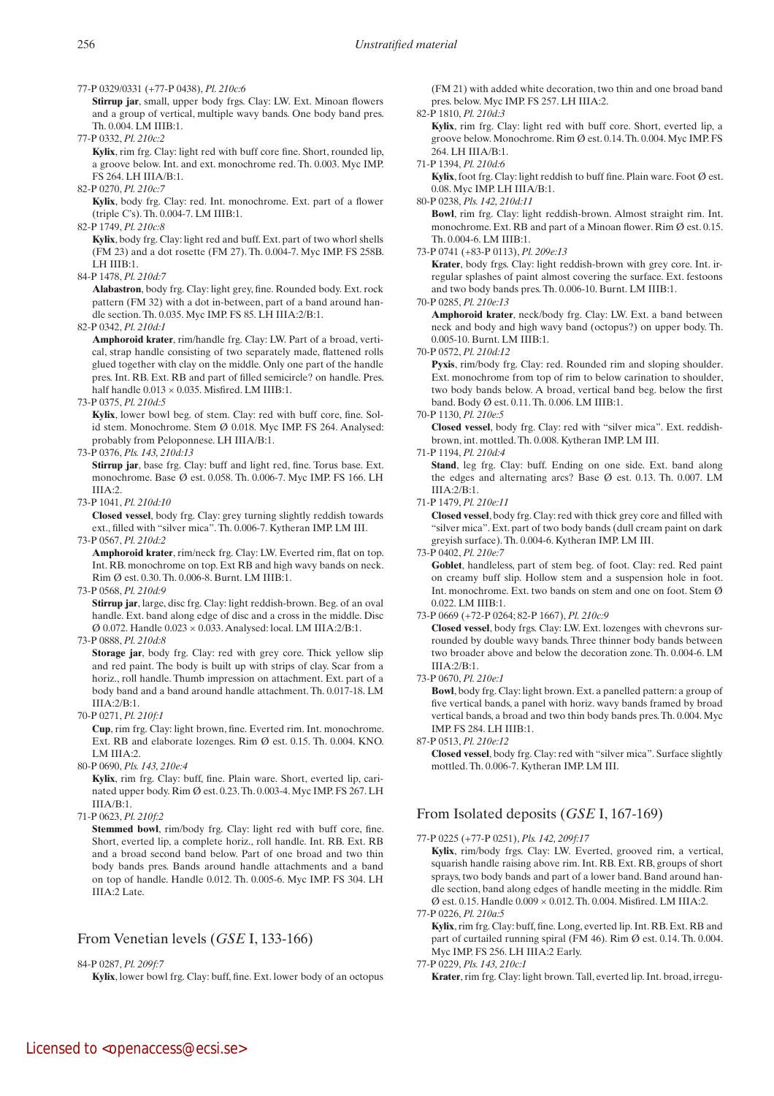77-P 0329/0331 (+77-P 0438), *Pl. 210c:6*

 **Stirrup jar**, small, upper body frgs. Clay: LW. Ext. Minoan flowers and a group of vertical, multiple wavy bands. One body band pres. Th. 0.004. LM IIIB:1.

77-P 0332, *Pl. 210c:2*

 **Kylix**, rim frg. Clay: light red with buff core fine. Short, rounded lip, a groove below. Int. and ext. monochrome red. Th. 0.003. Myc IMP. FS 264. LH IIIA/B:1.

82-P 0270, *Pl. 210c:7*

 **Kylix**, body frg. Clay: red. Int. monochrome. Ext. part of a flower (triple C's). Th. 0.004-7. LM IIIB:1.

82-P 1749, *Pl. 210c:8*

 **Kylix**, body frg. Clay: light red and buff. Ext. part of two whorl shells (FM 23) and a dot rosette (FM 27). Th. 0.004-7. Myc IMP. FS 258B. LH IIIB:1.

84-P 1478, *Pl. 210d:7*

 **Alabastron**, body frg. Clay: light grey, fine. Rounded body. Ext. rock pattern (FM 32) with a dot in-between, part of a band around handle section. Th. 0.035. Myc IMP. FS 85. LH IIIA:2/B:1.

82-P 0342, *Pl. 210d:1*

 **Amphoroid krater**, rim/handle frg. Clay: LW. Part of a broad, vertical, strap handle consisting of two separately made, flattened rolls glued together with clay on the middle. Only one part of the handle pres. Int. RB. Ext. RB and part of filled semicircle? on handle. Pres. half handle  $0.013 \times 0.035$ . Misfired. LM IIIB:1.

73-P 0375, *Pl. 210d:5*

 **Kylix**, lower bowl beg. of stem. Clay: red with buff core, fine. Solid stem. Monochrome. Stem Ø 0.018. Myc IMP. FS 264. Analysed: probably from Peloponnese. LH IIIA/B:1.

73-P 0376, *Pls. 143, 210d:13*

 **Stirrup jar**, base frg. Clay: buff and light red, fine. Torus base. Ext. monochrome. Base Ø est. 0.058. Th. 0.006-7. Myc IMP. FS 166. LH IIIA:2.

73-P 1041, *Pl. 210d:10*

 **Closed vessel**, body frg. Clay: grey turning slightly reddish towards ext., filled with "silver mica". Th. 0.006-7. Kytheran IMP. LM III.

73-P 0567, *Pl. 210d:2*

**Amphoroid krater**, rim/neck frg. Clay: LW. Everted rim, flat on top. Int. RB. monochrome on top. Ext RB and high wavy bands on neck. Rim Ø est. 0.30. Th. 0.006-8. Burnt. LM IIIB:1.

73-P 0568, *Pl. 210d:9*

**Stirrup jar**, large, disc frg. Clay: light reddish-brown. Beg. of an oval handle. Ext. band along edge of disc and a cross in the middle. Disc  $\varnothing$  0.072. Handle 0.023  $\times$  0.033. Analysed: local. LM IIIA:2/B:1.

73-P 0888, *Pl. 210d:8*

**Storage** jar, body frg. Clay: red with grey core. Thick yellow slip and red paint. The body is built up with strips of clay. Scar from a horiz., roll handle. Thumb impression on attachment. Ext. part of a body band and a band around handle attachment. Th. 0.017-18. LM IIIA:2/B:1.

70-P 0271, *Pl. 210f:1*

 **Cup**, rim frg. Clay: light brown, fine. Everted rim. Int. monochrome. Ext. RB and elaborate lozenges. Rim Ø est. 0.15. Th. 0.004. KNO. LM III $A \cdot 2$ 

80-P 0690, *Pls. 143, 210e:4*

 **Kylix**, rim frg. Clay: buff, fine. Plain ware. Short, everted lip, carinated upper body. Rim  $\emptyset$  est. 0.23. Th. 0.003-4. Myc IMP. FS 267. LH  $IIIA/B:1$ .

71-P 0623, *Pl. 210f:2*

 **Stemmed bowl**, rim/body frg. Clay: light red with buff core, fine. Short, everted lip, a complete horiz., roll handle. Int. RB. Ext. RB and a broad second band below. Part of one broad and two thin body bands pres. Bands around handle attachments and a band on top of handle. Handle 0.012. Th. 0.005-6. Myc IMP. FS 304. LH IIIA:2 Late.

# From Venetian levels (*GSE* I, 133-166)

84-P 0287, *Pl. 209f:7*

**Kylix**, lower bowl frg. Clay: buff, fine. Ext. lower body of an octopus

(FM 21) with added white decoration, two thin and one broad band pres. below. Myc IMP. FS 257. LH IIIA:2.

## 82-P 1810, *Pl. 210d:3*

 **Kylix**, rim frg. Clay: light red with buff core. Short, everted lip, a groove below. Monochrome. Rim Ø est. 0.14. Th. 0.004. Myc IMP. FS 264. LH IIIA/B:1.

71-P 1394, *Pl. 210d:6*

**Kylix**, foot frg. Clay: light reddish to buff fine. Plain ware. Foot  $\emptyset$  est. 0.08. Myc IMP. LH IIIA/B:1.

### 80-P 0238, *Pls. 142, 210d:11*

 **Bowl**, rim frg. Clay: light reddish-brown. Almost straight rim. Int. monochrome. Ext. RB and part of a Minoan flower. Rim Ø est. 0.15. Th. 0.004-6. LM IIIB:1.

73-P 0741 (+83-P 0113), *Pl. 209e:13*

 **Krater**, body frgs. Clay: light reddish-brown with grey core. Int. irregular splashes of paint almost covering the surface. Ext. festoons and two body bands pres. Th. 0.006-10. Burnt. LM IIIB:1.

70-P 0285, *Pl. 210e:13*

 **Amphoroid krater**, neck/body frg. Clay: LW. Ext. a band between neck and body and high wavy band (octopus?) on upper body. Th. 0.005-10. Burnt. LM IIIB:1.

70-P 0572, *Pl. 210d:12*

Pyxis, rim/body frg. Clay: red. Rounded rim and sloping shoulder. Ext. monochrome from top of rim to below carination to shoulder, two body bands below. A broad, vertical band beg. below the first band. Body Ø est. 0.11. Th. 0.006. LM IIIB:1.

## 70-P 1130, *Pl. 210e:5*

 **Closed vessel**, body frg. Clay: red with "silver mica". Ext. reddishbrown, int. mottled. Th. 0.008. Kytheran IMP. LM III.

## 71-P 1194, *Pl. 210d:4*

Stand, leg frg. Clay: buff. Ending on one side. Ext. band along the edges and alternating arcs? Base Ø est. 0.13. Th. 0.007. LM IIIA:2/B:1.

71-P 1479, *Pl. 210e:11*

 **Closed vessel**, body frg. Clay: red with thick grey core and filled with "silver mica". Ext. part of two body bands (dull cream paint on dark greyish surface). Th. 0.004-6. Kytheran IMP. LM III.

73-P 0402, *Pl. 210e:7*

Goblet, handleless, part of stem beg. of foot. Clay: red. Red paint on creamy buff slip. Hollow stem and a suspension hole in foot. Int. monochrome. Ext. two bands on stem and one on foot. Stem  $\emptyset$ 0.022. LM IIIB:1.

73-P 0669 (+72-P 0264; 82-P 1667), *Pl. 210c:9*

 **Closed vessel**, body frgs. Clay: LW. Ext. lozenges with chevrons surrounded by double wavy bands. Three thinner body bands between two broader above and below the decoration zone. Th. 0.004-6. LM III $A:2/R:1$ .

73-P 0670, *Pl. 210e:1*

 **Bowl**, body frg. Clay: light brown. Ext. a panelled pattern: a group of five vertical bands, a panel with horiz. wavy bands framed by broad vertical bands, a broad and two thin body bands pres. Th. 0.004. Myc IMP. FS 284. LH IIIB:1.

87-P 0513, *Pl. 210e:12*

 **Closed vessel**, body frg. Clay: red with "silver mica". Surface slightly mottled. Th. 0.006-7. Kytheran IMP. LM III.

# From Isolated deposits (*GSE* I, 167-169)

77-P 0225 (+77-P 0251), *Pls. 142, 209f:17*

 **Kylix**, rim/body frgs. Clay: LW. Everted, grooved rim, a vertical, squarish handle raising above rim. Int. RB. Ext. RB, groups of short sprays, two body bands and part of a lower band. Band around handle section, band along edges of handle meeting in the middle. Rim Ø est. 0.15. Handle 0.009 × 0.012. Th. 0.004. Misfired. LM IIIA:2.

77-P 0226, *Pl. 210a:5*

 **Kylix**, rim frg. Clay: buff, fine. Long, everted lip. Int. RB. Ext. RB and part of curtailed running spiral (FM 46). Rim Ø est. 0.14. Th. 0.004. Myc IMP. FS 256. LH IIIA:2 Early.

- 77-P 0229, *Pls. 143, 210c:1*
	- **Krater**, rim frg. Clay: light brown. Tall, everted lip. Int. broad, irregu-